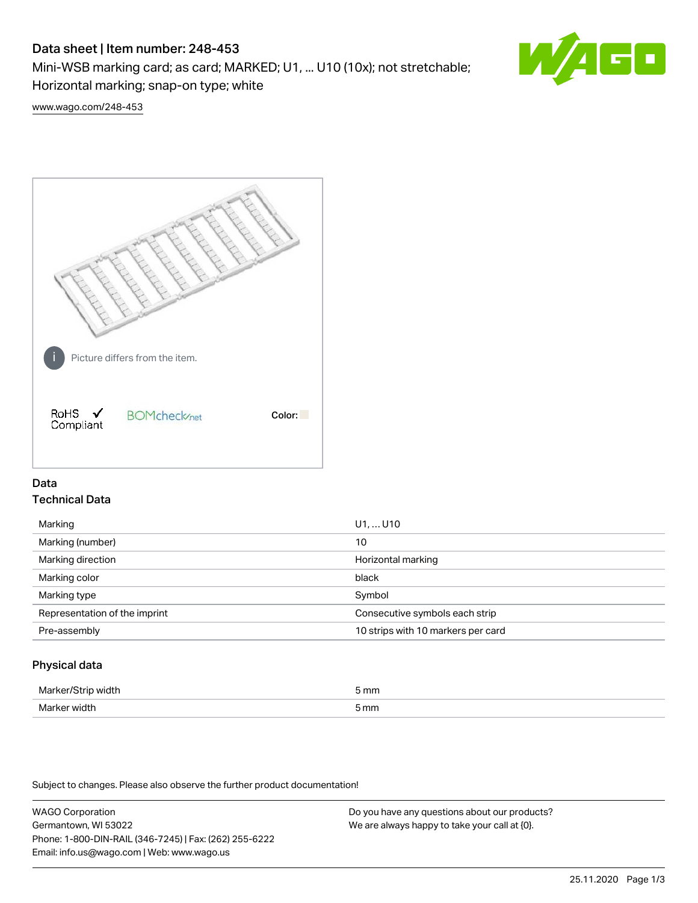# Data sheet | Item number: 248-453

Mini-WSB marking card; as card; MARKED; U1, ... U10 (10x); not stretchable;

Horizontal marking; snap-on type; white



[www.wago.com/248-453](http://www.wago.com/248-453)



# Data Technical Data

| Marking                       | U1,  U10                           |  |
|-------------------------------|------------------------------------|--|
| Marking (number)              | 10                                 |  |
| Marking direction             | Horizontal marking                 |  |
| Marking color                 | black                              |  |
| Marking type                  | Symbol                             |  |
| Representation of the imprint | Consecutive symbols each strip     |  |
| Pre-assembly                  | 10 strips with 10 markers per card |  |
|                               |                                    |  |

## Physical data

| Mar                      | 5 mm |
|--------------------------|------|
| M <sub>cr</sub><br>width | 5 mm |

Subject to changes. Please also observe the further product documentation!

WAGO Corporation Germantown, WI 53022 Phone: 1-800-DIN-RAIL (346-7245) | Fax: (262) 255-6222 Email: info.us@wago.com | Web: www.wago.us Do you have any questions about our products? We are always happy to take your call at {0}.

25.11.2020 Page 1/3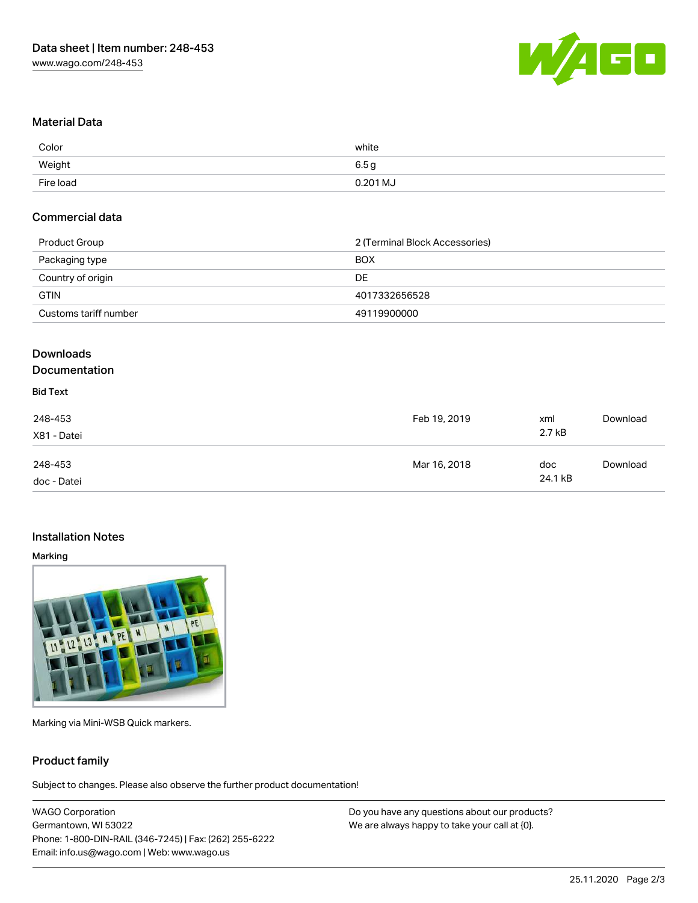

## Material Data

| Color     | white    |
|-----------|----------|
| Weight    | 6.5 a    |
| Fire load | 0.201 MJ |

#### Commercial data

| Product Group         | 2 (Terminal Block Accessories) |  |
|-----------------------|--------------------------------|--|
| Packaging type        | <b>BOX</b>                     |  |
| Country of origin     | DE                             |  |
| <b>GTIN</b>           | 4017332656528                  |  |
| Customs tariff number | 49119900000                    |  |

# Downloads

## Documentation

# Bid Text

| 248-453<br>X81 - Datei | Feb 19, 2019 | xml<br>2.7 kB  | Download |
|------------------------|--------------|----------------|----------|
| 248-453<br>doc - Datei | Mar 16, 2018 | doc<br>24.1 kB | Download |

### Installation Notes

#### Marking



Marking via Mini-WSB Quick markers.

### Product family

Subject to changes. Please also observe the further product documentation!

WAGO Corporation Germantown, WI 53022 Phone: 1-800-DIN-RAIL (346-7245) | Fax: (262) 255-6222 Email: info.us@wago.com | Web: www.wago.us

Do you have any questions about our products? We are always happy to take your call at {0}.